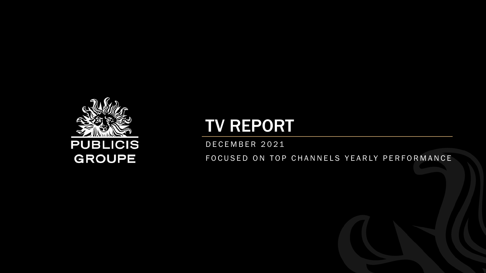

# TV REPORT

D E C E M B E R 2 0 2 1

FOCUSED ON TOP CHANNELS YEARLY PERFORMANCE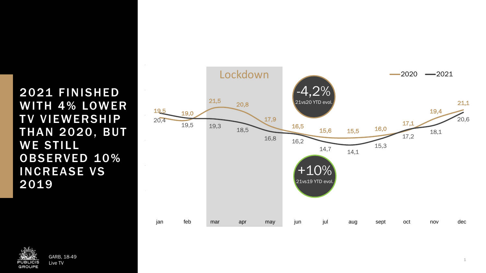2021 FINISHED WITH 4% LOWER **TV VIEWERSHIP THAN 2020, BUT WE STILL** OBSERVED 10% INCREASE VS 2019



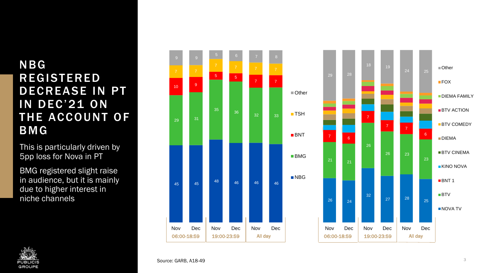# NBG **REGISTERED** DECREASE IN PT IN DEC'21 ON THE ACCOUNT OF BMG

This is particularly driven by 5pp loss for Nova in PT

BMG registered slight raise in audience, but it is mainly due to higher interest in niche channels





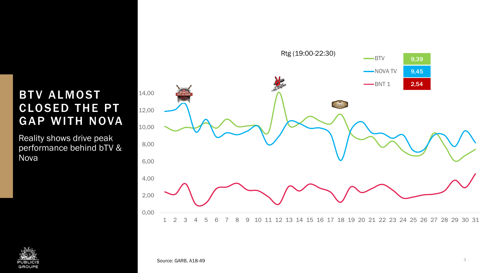## **BTV ALMOST CLOSED THE PT** GAP WITH NOVA

Reality shows drive peak performance behind bTV & Nova



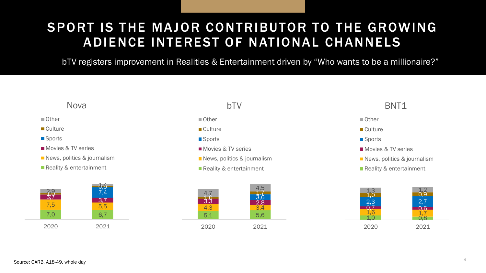# SPORT IS THE MAJOR CONTRIBUTOR TO THE GROWING ADIENCE INTEREST OF NATIONAL CHANNELS

bTV registers improvement in Realities & Entertainment driven by "Who wants to be a millionaire?"

#### Nova

#### ■ Other

■ Culture

**Sports** 

Movies & TV series

News, politics & journalism

Reality & entertainment



### bTV

■ Other

■ Culture

- Sports
- **Movies & TV series**
- News, politics & journalism
- Reality & entertainment



#### BNT1



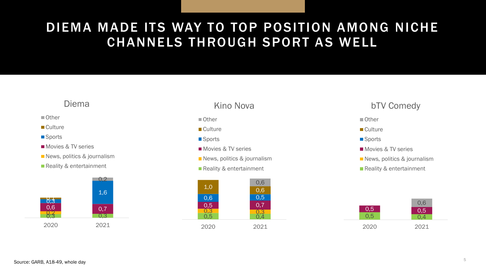# DIEMA MADE ITS WAY TO TOP POSITION AMONG NICHE CHANNELS THROUGH SPORT AS WELL

## Diema

#### ■ Other

- **Culture**
- **Sports**
- **Movies & TV series**
- News, politics & journalism
- **Reality & entertainment**



### Kino Nova

- Other
- Culture
- Sports
- **Movies & TV series**
- News, politics & journalism
- Reality & entertainment



#### bTV Comedy

#### ■ Other

- Culture
- **Sports**
- **Movies & TV series**
- News, politics & journalism
- Reality & entertainment

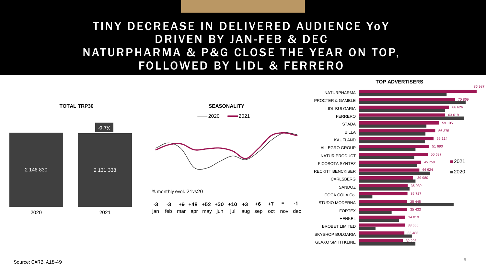## TINY DECREASE IN DELIVERED AUDIENCE YOY DRIVEN BY JAN-FEB & DEC NATURPHARMA & P&G CLOSE THE YEAR ON TOP, FOLLOWED BY LIDL & FERRERO



![](_page_6_Figure_2.jpeg)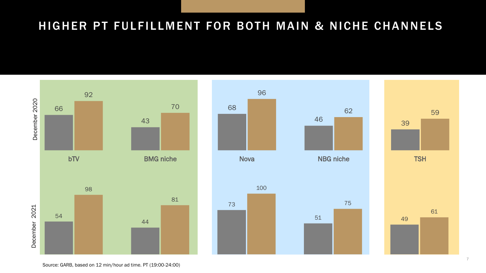# HIGHER PT FULFILLMENT FOR BOTH MAIN & NICHE CHANNELS

![](_page_7_Figure_1.jpeg)